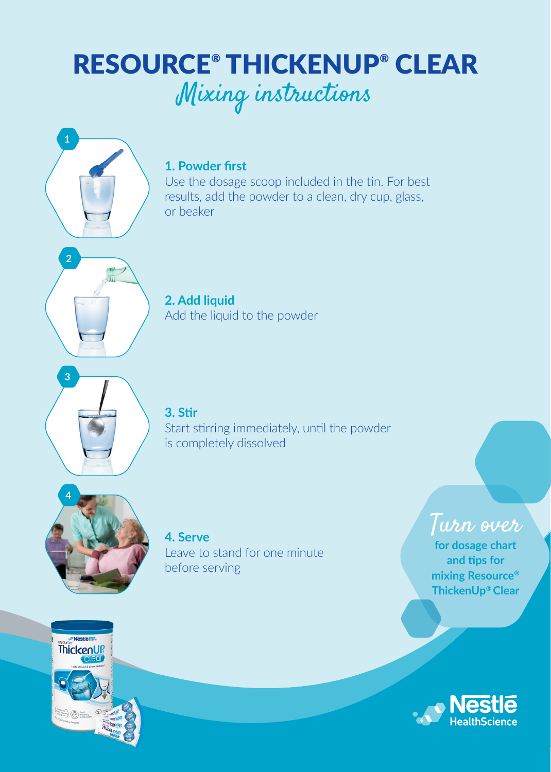# RESOURCE® THICKENUP® CLEAR Mixing instructions



Use the dosage scoop included in the tin. For best results, add the powder to a clean, dry cup, glass, or beaker

**2. Add liquid**  Add the liquid to the powder



**1**

**2**

**3. Stir**  Start stirring immediately, until the powder is completely dissolved



**4. Serve** Leave to stand for one minute before serving

Turn over **for dosage chart and tips for mixing Resource® ThickenUp® Clear**